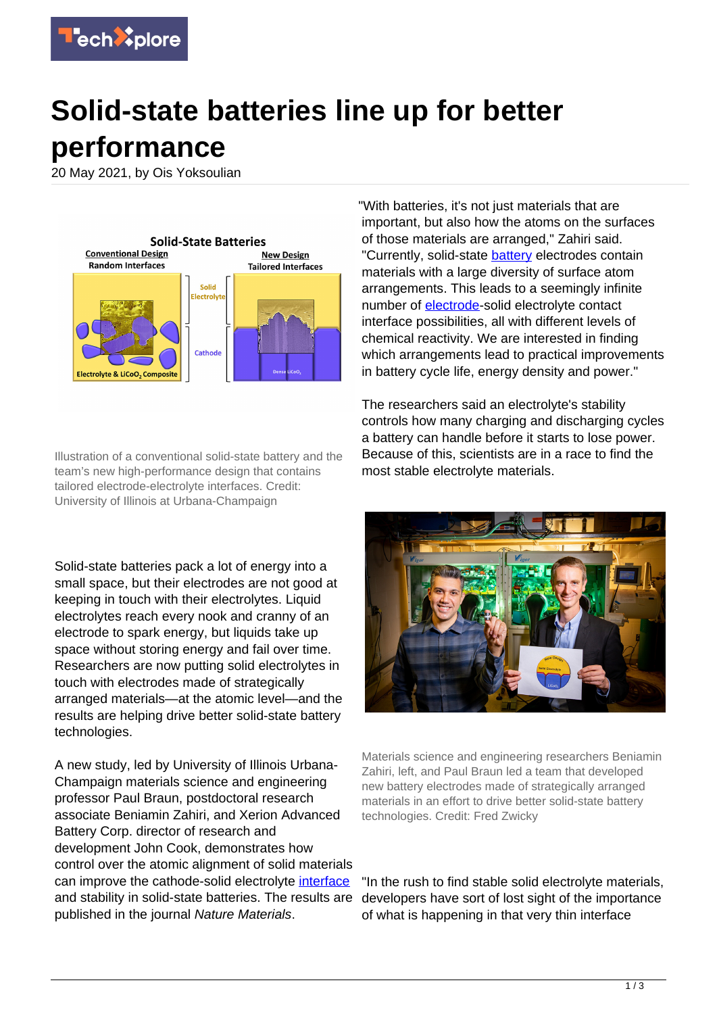

## **Solid-state batteries line up for better performance**

20 May 2021, by Ois Yoksoulian



Illustration of a conventional solid-state battery and the team's new high-performance design that contains tailored electrode-electrolyte interfaces. Credit: University of Illinois at Urbana-Champaign

Solid-state batteries pack a lot of energy into a small space, but their electrodes are not good at keeping in touch with their electrolytes. Liquid electrolytes reach every nook and cranny of an electrode to spark energy, but liquids take up space without storing energy and fail over time. Researchers are now putting solid electrolytes in touch with electrodes made of strategically arranged materials—at the atomic level—and the results are helping drive better solid-state battery technologies.

A new study, led by University of Illinois Urbana-Champaign materials science and engineering professor Paul Braun, postdoctoral research associate Beniamin Zahiri, and Xerion Advanced Battery Corp. director of research and development John Cook, demonstrates how control over the atomic alignment of solid materials can improve the cathode-solid electrolyte [interface](https://techxplore.com/tags/interface/) and stability in solid-state batteries. The results are published in the journal Nature Materials.

"With batteries, it's not just materials that are important, but also how the atoms on the surfaces of those materials are arranged," Zahiri said. "Currently, solid-state **battery** electrodes contain materials with a large diversity of surface atom arrangements. This leads to a seemingly infinite number of [electrode](https://techxplore.com/tags/electrode/)-solid electrolyte contact interface possibilities, all with different levels of chemical reactivity. We are interested in finding which arrangements lead to practical improvements in battery cycle life, energy density and power."

The researchers said an electrolyte's stability controls how many charging and discharging cycles a battery can handle before it starts to lose power. Because of this, scientists are in a race to find the most stable electrolyte materials.



Materials science and engineering researchers Beniamin Zahiri, left, and Paul Braun led a team that developed new battery electrodes made of strategically arranged materials in an effort to drive better solid-state battery technologies. Credit: Fred Zwicky

"In the rush to find stable solid electrolyte materials, developers have sort of lost sight of the importance of what is happening in that very thin interface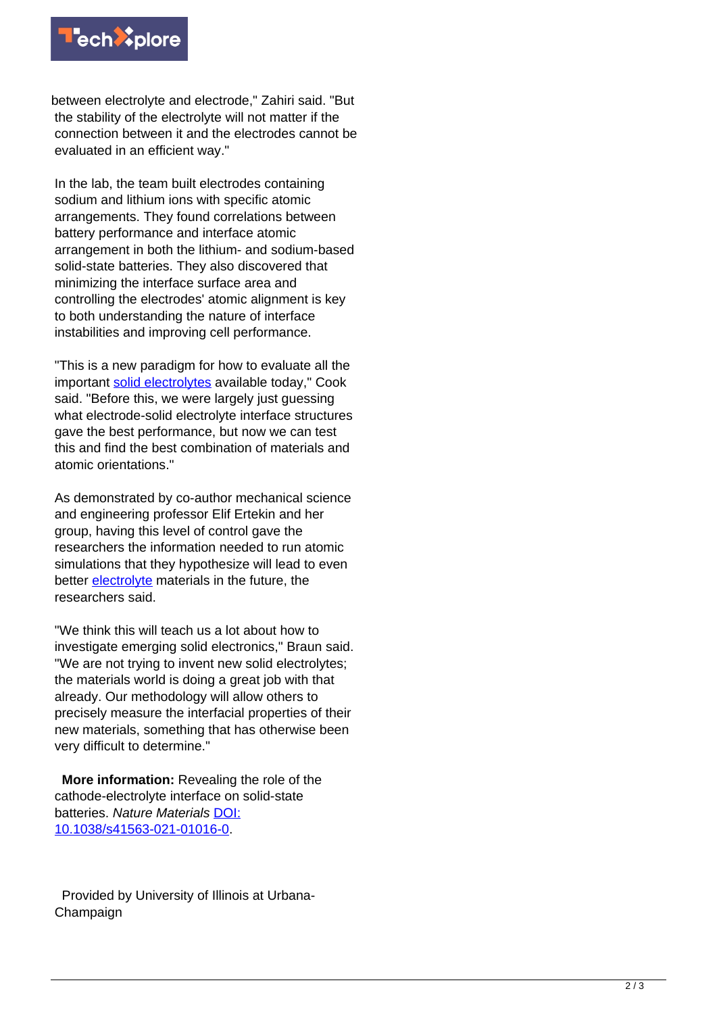

between electrolyte and electrode," Zahiri said. "But the stability of the electrolyte will not matter if the connection between it and the electrodes cannot be evaluated in an efficient way."

In the lab, the team built electrodes containing sodium and lithium ions with specific atomic arrangements. They found correlations between battery performance and interface atomic arrangement in both the lithium- and sodium-based solid-state batteries. They also discovered that minimizing the interface surface area and controlling the electrodes' atomic alignment is key to both understanding the nature of interface instabilities and improving cell performance.

"This is a new paradigm for how to evaluate all the important [solid electrolytes](https://techxplore.com/tags/solid+electrolytes/) available today," Cook said. "Before this, we were largely just guessing what electrode-solid electrolyte interface structures gave the best performance, but now we can test this and find the best combination of materials and atomic orientations."

As demonstrated by co-author mechanical science and engineering professor Elif Ertekin and her group, having this level of control gave the researchers the information needed to run atomic simulations that they hypothesize will lead to even better [electrolyte](https://techxplore.com/tags/electrolyte/) materials in the future, the researchers said.

"We think this will teach us a lot about how to investigate emerging solid electronics," Braun said. "We are not trying to invent new solid electrolytes; the materials world is doing a great job with that already. Our methodology will allow others to precisely measure the interfacial properties of their new materials, something that has otherwise been very difficult to determine."

 **More information:** Revealing the role of the cathode-electrolyte interface on solid-state batteries. Nature Materials [DOI:](http://dx.doi.org/10.1038/s41563-021-01016-0) [10.1038/s41563-021-01016-0](http://dx.doi.org/10.1038/s41563-021-01016-0).

 Provided by University of Illinois at Urbana-Champaign